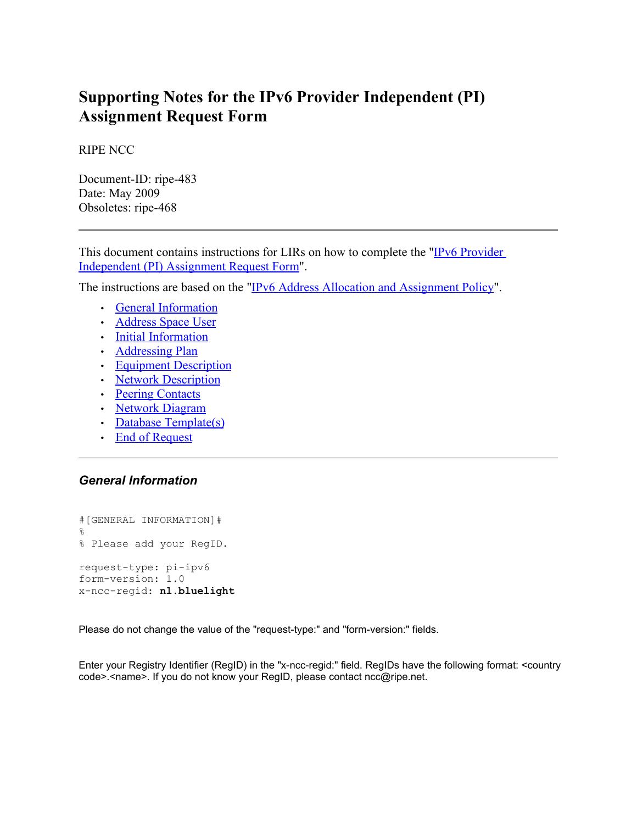# **Supporting Notes for the IPv6 Provider Independent (PI) Assignment Request Form**

RIPE NCC

Document-ID: ripe-483 Date: May 2009 Obsoletes: ripe-468

This document contains instructions for LIRs on how to complete the ["IPv6 Provider](http://ripe.net/ripe/docs/ipv6-pi.html) [Independent \(PI\) Assignment Request Form"](http://ripe.net/ripe/docs/ipv6-pi.html).

The instructions are based on the ["IPv6 Address Allocation and Assignment Policy"](http://www.ripe.net/ripe/docs/ipv6-policy.html).

- • [General Information](#page-0-1)
- • [Address Space User](#page-1-0)
- • [Initial Information](#page-2-1)
- • [Addressing Plan](#page-2-0)
- <span id="page-0-0"></span>• [Equipment Description](#page-0-0)
- • [Network Description](#page-3-0)
- • [Peering Contacts](#page-4-2)
- • [Network Diagram](#page-4-1)
- • [Database Template\(s\)](#page-4-0)
- • [End of Request](#page-5-0)

# <span id="page-0-1"></span>*General Information*

```
#[GENERAL INFORMATION]#
\mathsf{Q}% Please add your RegID.
request-type: pi-ipv6
form-version: 1.0
x-ncc-regid: nl.bluelight
```
Please do not change the value of the "request-type:" and "form-version:" fields.

Enter your Registry Identifier (RegID) in the "x-ncc-regid:" field. RegIDs have the following format: <country code>.<name>. If you do not know your RegID, please contact ncc@ripe.net.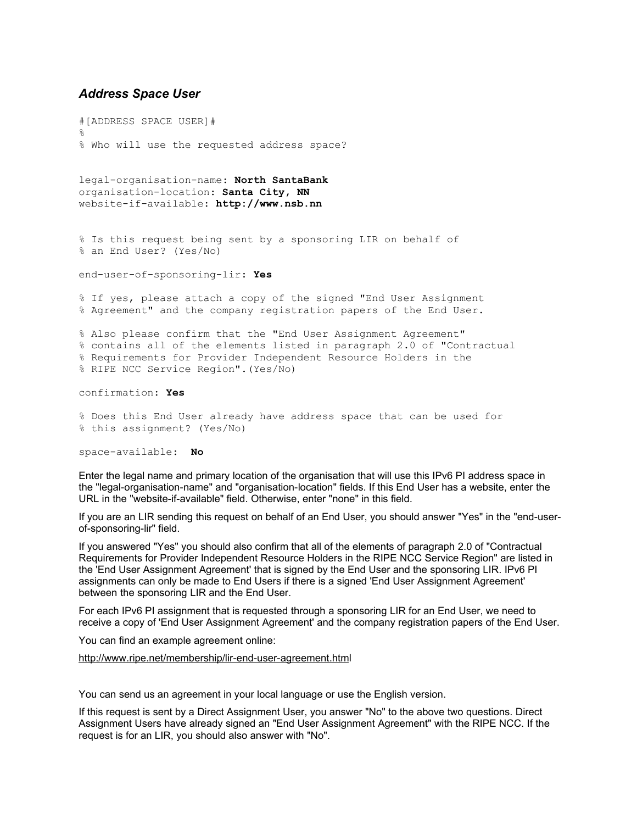## <span id="page-1-0"></span>*Address Space User*

#[ADDRESS SPACE USER]# % % Who will use the requested address space?

legal-organisation-name: **North SantaBank** organisation-location: **Santa City, NN** website-if-available: **http://www.nsb.nn**

% Is this request being sent by a sponsoring LIR on behalf of % an End User? (Yes/No)

end-user-of-sponsoring-lir: **Yes**

% If yes, please attach a copy of the signed "End User Assignment % Agreement" and the company registration papers of the End User.

% Also please confirm that the "End User Assignment Agreement" % contains all of the elements listed in paragraph 2.0 of "Contractual % Requirements for Provider Independent Resource Holders in the % RIPE NCC Service Region".(Yes/No)

confirmation: **Yes**

% Does this End User already have address space that can be used for % this assignment? (Yes/No)

space-available: **No**

Enter the legal name and primary location of the organisation that will use this IPv6 PI address space in the "legal-organisation-name" and "organisation-location" fields. If this End User has a website, enter the URL in the "website-if-available" field. Otherwise, enter "none" in this field.

If you are an LIR sending this request on behalf of an End User, you should answer "Yes" in the "end-userof-sponsoring-lir" field.

If you answered "Yes" you should also confirm that all of the elements of paragraph 2.0 of "Contractual Requirements for Provider Independent Resource Holders in the RIPE NCC Service Region" are listed in the 'End User Assignment Agreement' that is signed by the End User and the sponsoring LIR. IPv6 PI assignments can only be made to End Users if there is a signed 'End User Assignment Agreement' between the sponsoring LIR and the End User.

For each IPv6 PI assignment that is requested through a sponsoring LIR for an End User, we need to receive a copy of 'End User Assignment Agreement' and the company registration papers of the End User.

You can find an example agreement online:

<http://www.ripe.net/membership/lir-end-user-agreement.html>

You can send us an agreement in your local language or use the English version.

If this request is sent by a Direct Assignment User, you answer "No" to the above two questions. Direct Assignment Users have already signed an "End User Assignment Agreement" with the RIPE NCC. If the request is for an LIR, you should also answer with "No".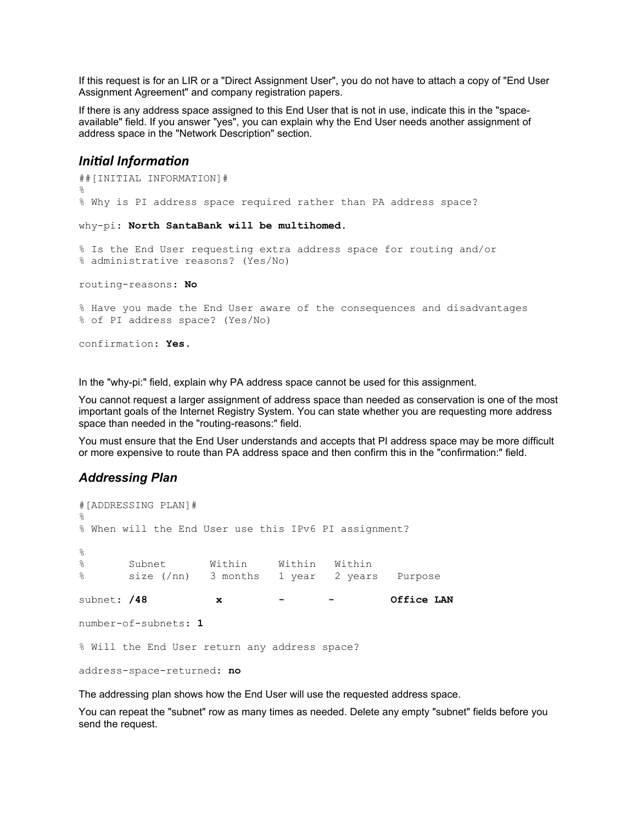If this request is for an LIR or a "Direct Assignment User", you do not have to attach a copy of "End User Assignment Agreement" and company registration papers.

If there is any address space assigned to this End User that is not in use, indicate this in the "spaceavailable" field. If you answer "yes", you can explain why the End User needs another assignment of address space in the "Network Description" section.

# <span id="page-2-1"></span>*Initial Information*

```
##[INITIAL INFORMATION]#
%
% Why is PI address space required rather than PA address space? 
why-pi: North SantaBank will be multihomed. 
% Is the End User requesting extra address space for routing and/or
% administrative reasons? (Yes/No)
routing-reasons: No
% Have you made the End User aware of the consequences and disadvantages
% of PI address space? (Yes/No)
confirmation: Yes.
```
In the "why-pi:" field, explain why PA address space cannot be used for this assignment.

You cannot request a larger assignment of address space than needed as conservation is one of the most important goals of the Internet Registry System. You can state whether you are requesting more address space than needed in the "routing-reasons:" field.

You must ensure that the End User understands and accepts that PI address space may be more difficult or more expensive to route than PA address space and then confirm this in the "confirmation:" field.

## <span id="page-2-0"></span>*Addressing Plan*

```
#[ADDRESSING PLAN]#
%
% When will the End User use this IPv6 PI assignment?
\approx% Subnet Within Within Within
% size (/nn) 3 months 1 year 2 years Purpose
subnet: /48 x - - Office LAN
number-of-subnets: 1
% Will the End User return any address space?
address-space-returned: no
```
The addressing plan shows how the End User will use the requested address space.

You can repeat the "subnet" row as many times as needed. Delete any empty "subnet" fields before you send the request.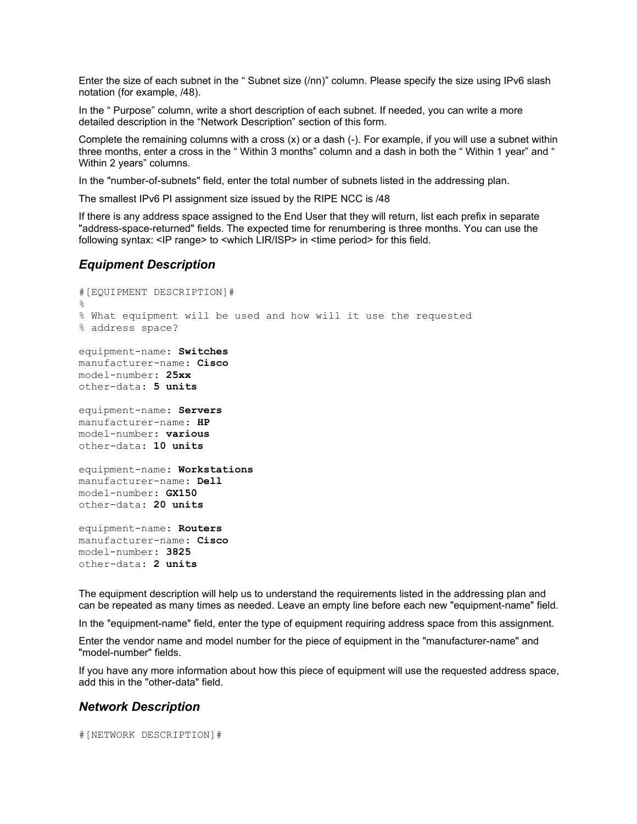Enter the size of each subnet in the " Subnet size (/nn)" column. Please specify the size using IPv6 slash notation (for example, /48).

In the " Purpose" column, write a short description of each subnet. If needed, you can write a more detailed description in the "Network Description" section of this form.

Complete the remaining columns with a cross (x) or a dash (-). For example, if you will use a subnet within three months, enter a cross in the " Within 3 months" column and a dash in both the " Within 1 year" and " Within 2 years" columns.

In the "number-of-subnets" field, enter the total number of subnets listed in the addressing plan.

The smallest IPv6 PI assignment size issued by the RIPE NCC is /48

If there is any address space assigned to the End User that they will return, list each prefix in separate "address-space-returned" fields. The expected time for renumbering is three months. You can use the following syntax: <IP range> to <which LIR/ISP> in <time period> for this field.

## *Equipment Description*

```
#[EQUIPMENT DESCRIPTION]#
\approx% What equipment will be used and how will it use the requested
% address space?
equipment-name: Switches
manufacturer-name: Cisco
model-number: 25xx
other-data: 5 units
equipment-name: Servers
manufacturer-name: HP
model-number: various
other-data: 10 units
equipment-name: Workstations
manufacturer-name: Dell
model-number: GX150
other-data: 20 units
equipment-name: Routers
manufacturer-name: Cisco
model-number: 3825
other-data: 2 units
```
The equipment description will help us to understand the requirements listed in the addressing plan and can be repeated as many times as needed. Leave an empty line before each new "equipment-name" field.

In the "equipment-name" field, enter the type of equipment requiring address space from this assignment.

Enter the vendor name and model number for the piece of equipment in the "manufacturer-name" and "model-number" fields.

If you have any more information about how this piece of equipment will use the requested address space, add this in the "other-data" field.

#### <span id="page-3-0"></span>*Network Description*

#[NETWORK DESCRIPTION]#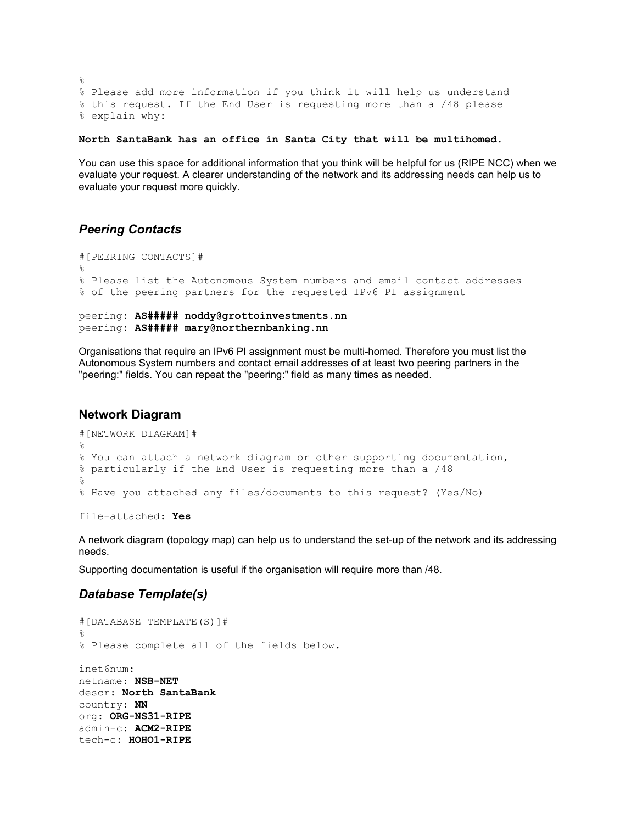```
\approx% Please add more information if you think it will help us understand
% this request. If the End User is requesting more than a /48 please 
% explain why:
```
**North SantaBank has an office in Santa City that will be multihomed.**

You can use this space for additional information that you think will be helpful for us (RIPE NCC) when we evaluate your request. A clearer understanding of the network and its addressing needs can help us to evaluate your request more quickly.

## <span id="page-4-2"></span>*Peering Contacts*

```
#[PEERING CONTACTS]#
%
% Please list the Autonomous System numbers and email contact addresses
% of the peering partners for the requested IPv6 PI assignment
peering: AS##### noddy@grottoinvestments.nn
```

```
peering: AS##### mary@northernbanking.nn
```
Organisations that require an IPv6 PI assignment must be multi-homed. Therefore you must list the Autonomous System numbers and contact email addresses of at least two peering partners in the "peering:" fields. You can repeat the "peering:" field as many times as needed.

## <span id="page-4-1"></span>**Network Diagram**

```
#[NETWORK DIAGRAM]#
\approx% You can attach a network diagram or other supporting documentation,
% particularly if the End User is requesting more than a /48
%
% Have you attached any files/documents to this request? (Yes/No)
```
file-attached: **Yes**

A network diagram (topology map) can help us to understand the set-up of the network and its addressing needs.

Supporting documentation is useful if the organisation will require more than /48.

# <span id="page-4-0"></span>*Database Template(s)*

```
#[DATABASE TEMPLATE(S)]#
\frac{1}{2}% Please complete all of the fields below.
inet6num:
netname: NSB-NET
descr: North SantaBank
country: NN
org: ORG-NS31-RIPE
admin-c: ACM2-RIPE
tech-c: HOHO1-RIPE
```